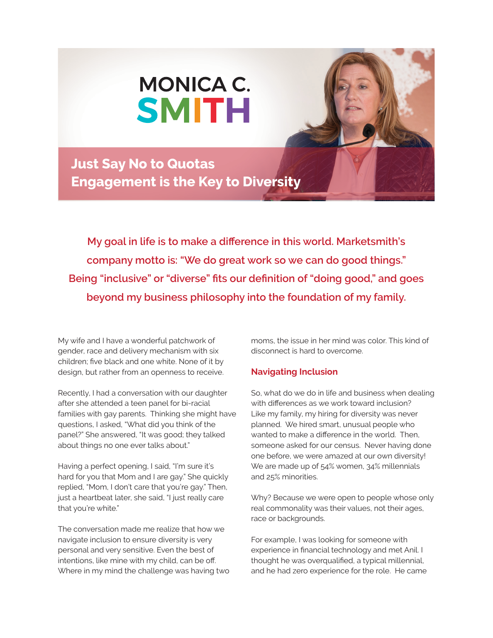

**Just Say No to Quotas Engagement is the Key to Diversity** 

**My goal in life is to make a difference in this world. Marketsmith's company motto is: "We do great work so we can do good things." Being "inclusive" or "diverse" fits our definition of "doing good," and goes beyond my business philosophy into the foundation of my family.** 

My wife and I have a wonderful patchwork of gender, race and delivery mechanism with six children; five black and one white. None of it by design, but rather from an openness to receive.

Recently, I had a conversation with our daughter after she attended a teen panel for bi-racial families with gay parents. Thinking she might have questions, I asked, "What did you think of the panel?" She answered, "It was good; they talked about things no one ever talks about."

Having a perfect opening, I said, "I'm sure it's hard for you that Mom and I are gay." She quickly replied, "Mom, I don't care that you're gay." Then, just a heartbeat later, she said, "I just really care that you're white."

The conversation made me realize that how we navigate inclusion to ensure diversity is very personal and very sensitive. Even the best of intentions, like mine with my child, can be off. Where in my mind the challenge was having two moms, the issue in her mind was color. This kind of disconnect is hard to overcome.

## **Navigating Inclusion**

So, what do we do in life and business when dealing with differences as we work toward inclusion? Like my family, my hiring for diversity was never planned. We hired smart, unusual people who wanted to make a difference in the world. Then, someone asked for our census. Never having done one before, we were amazed at our own diversity! We are made up of 54% women, 34% millennials and 25% minorities.

Why? Because we were open to people whose only real commonality was their values, not their ages, race or backgrounds.

For example, I was looking for someone with experience in financial technology and met Anil. I thought he was overqualified, a typical millennial, and he had zero experience for the role. He came